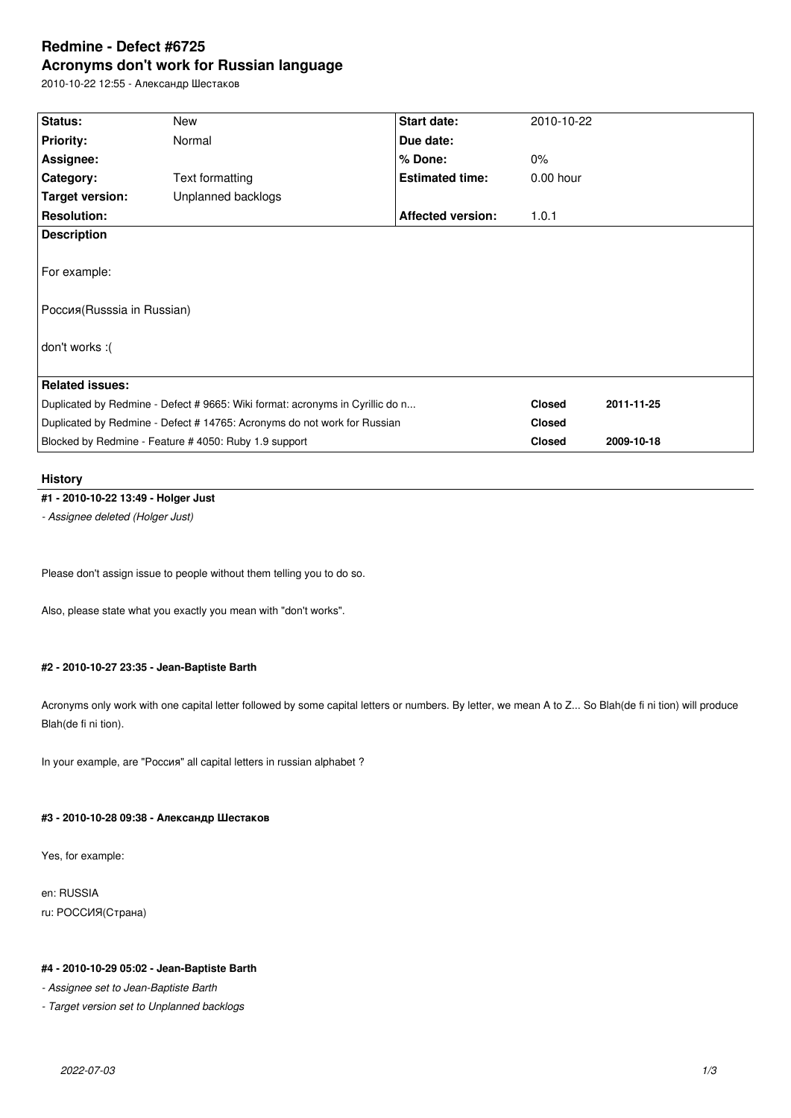# **Redmine - Defect #6725 Acronyms don't work for Russian language**

2010-10-22 12:55 - Александр Шестаков

| Status:                                                                       | New                | <b>Start date:</b>       | 2010-10-22    |            |
|-------------------------------------------------------------------------------|--------------------|--------------------------|---------------|------------|
| <b>Priority:</b>                                                              | Normal             | Due date:                |               |            |
| Assignee:                                                                     |                    | % Done:                  | $0\%$         |            |
| Category:                                                                     | Text formatting    | <b>Estimated time:</b>   | $0.00$ hour   |            |
| Target version:                                                               | Unplanned backlogs |                          |               |            |
| <b>Resolution:</b>                                                            |                    | <b>Affected version:</b> | 1.0.1         |            |
| <b>Description</b>                                                            |                    |                          |               |            |
|                                                                               |                    |                          |               |            |
| For example:                                                                  |                    |                          |               |            |
|                                                                               |                    |                          |               |            |
| Poccия (Russsia in Russian)                                                   |                    |                          |               |            |
|                                                                               |                    |                          |               |            |
| don't works :(                                                                |                    |                          |               |            |
|                                                                               |                    |                          |               |            |
| <b>Related issues:</b>                                                        |                    |                          |               |            |
| Duplicated by Redmine - Defect # 9665: Wiki format: acronyms in Cyrillic do n |                    |                          | <b>Closed</b> | 2011-11-25 |
| Duplicated by Redmine - Defect # 14765: Acronyms do not work for Russian      |                    |                          | <b>Closed</b> |            |
| Blocked by Redmine - Feature # 4050: Ruby 1.9 support                         |                    |                          | <b>Closed</b> | 2009-10-18 |
|                                                                               |                    |                          |               |            |

### **History**

## **#1 - 2010-10-22 13:49 - Holger Just**

*- Assignee deleted (Holger Just)*

Please don't assign issue to people without them telling you to do so.

Also, please state what you exactly you mean with "don't works".

### **#2 - 2010-10-27 23:35 - Jean-Baptiste Barth**

Acronyms only work with one capital letter followed by some capital letters or numbers. By letter, we mean A to Z... So Blah(de fi ni tion) will produce Blah(de fi ni tion).

In your example, are "Россия" all capital letters in russian alphabet ?

### **#3 - 2010-10-28 09:38 - Александр Шестаков**

Yes, for example:

en: RUSSIA ru: РОССИЯ(Страна)

## **#4 - 2010-10-29 05:02 - Jean-Baptiste Barth**

*- Assignee set to Jean-Baptiste Barth*

*- Target version set to Unplanned backlogs*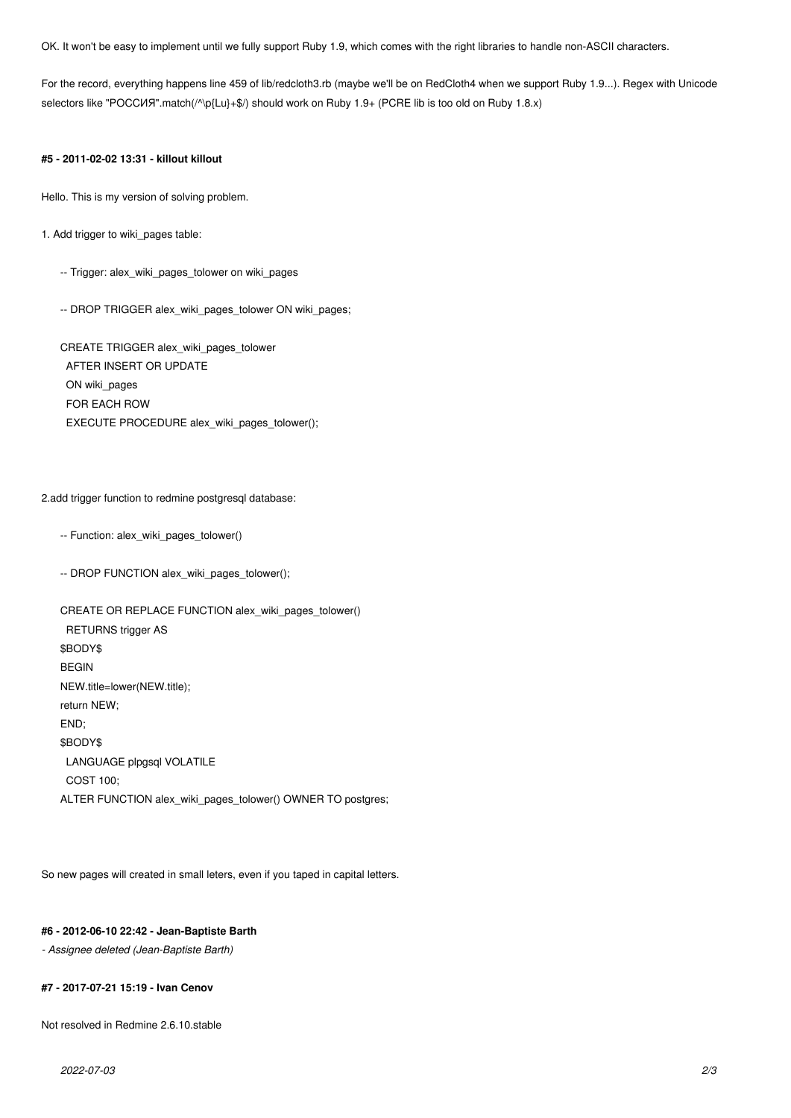OK. It won't be easy to implement until we fully support Ruby 1.9, which comes with the right libraries to handle non-ASCII characters.

For the record, everything happens line 459 of lib/redcloth3.rb (maybe we'll be on RedCloth4 when we support Ruby 1.9...). Regex with Unicode selectors like "РОССИЯ".match(/^\p{Lu}+\$/) should work on Ruby 1.9+ (PCRE lib is too old on Ruby 1.8.x)

#### **#5 - 2011-02-02 13:31 - killout killout**

Hello. This is my version of solving problem.

1. Add trigger to wiki\_pages table:

- -- Trigger: alex\_wiki\_pages\_tolower on wiki\_pages
- -- DROP TRIGGER alex\_wiki\_pages\_tolower ON wiki\_pages;

CREATE TRIGGER alex\_wiki\_pages\_tolower AFTER INSERT OR UPDATE ON wiki\_pages FOR EACH ROW EXECUTE PROCEDURE alex\_wiki\_pages\_tolower();

#### 2.add trigger function to redmine postgresql database:

- -- Function: alex\_wiki\_pages\_tolower()
- -- DROP FUNCTION alex\_wiki\_pages\_tolower();

```
CREATE OR REPLACE FUNCTION alex_wiki_pages_tolower()
  RETURNS trigger AS
$BODY$
BEGIN
NEW.title=lower(NEW.title);
return NEW;
END;
$BODY$
  LANGUAGE plpgsql VOLATILE
  COST 100;
ALTER FUNCTION alex_wiki_pages_tolower() OWNER TO postgres;
```
So new pages will created in small leters, even if you taped in capital letters.

#### **#6 - 2012-06-10 22:42 - Jean-Baptiste Barth**

*- Assignee deleted (Jean-Baptiste Barth)*

#### **#7 - 2017-07-21 15:19 - Ivan Cenov**

Not resolved in Redmine 2.6.10.stable